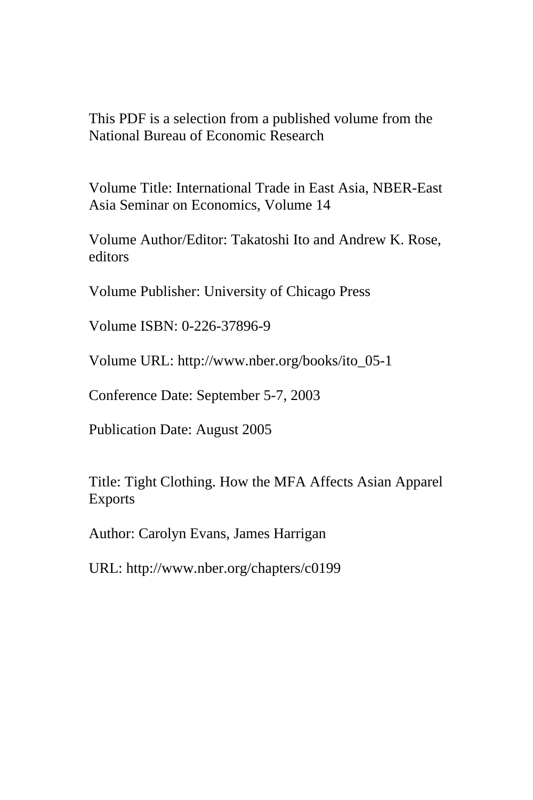This PDF is a selection from a published volume from the National Bureau of Economic Research

Volume Title: International Trade in East Asia, NBER-East Asia Seminar on Economics, Volume 14

Volume Author/Editor: Takatoshi Ito and Andrew K. Rose, editors

Volume Publisher: University of Chicago Press

Volume ISBN: 0-226-37896-9

Volume URL: http://www.nber.org/books/ito\_05-1

Conference Date: September 5-7, 2003

Publication Date: August 2005

Title: Tight Clothing. How the MFA Affects Asian Apparel Exports

Author: Carolyn Evans, James Harrigan

URL: http://www.nber.org/chapters/c0199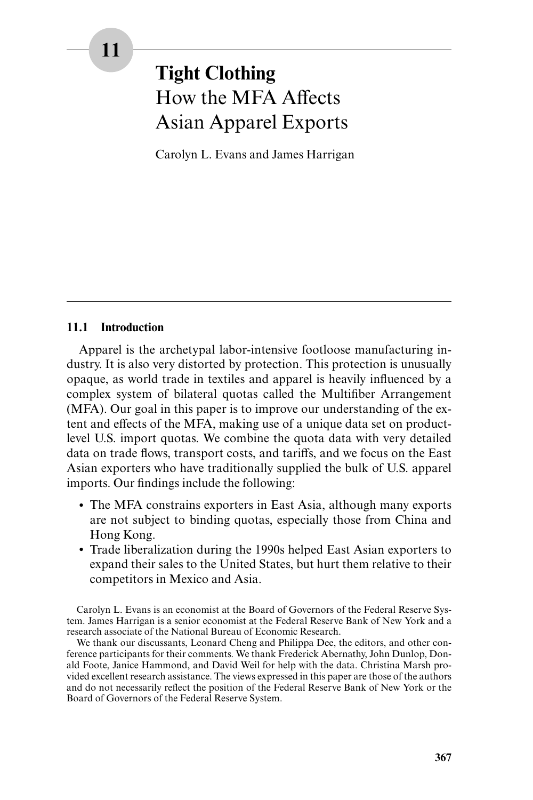# **Tight Clothing** How the MFA Affects Asian Apparel Exports

Carolyn L. Evans and James Harrigan

# **11.1 Introduction**

Apparel is the archetypal labor-intensive footloose manufacturing industry. It is also very distorted by protection. This protection is unusually opaque, as world trade in textiles and apparel is heavily influenced by a complex system of bilateral quotas called the Multifiber Arrangement (MFA). Our goal in this paper is to improve our understanding of the extent and effects of the MFA, making use of a unique data set on productlevel U.S. import quotas. We combine the quota data with very detailed data on trade flows, transport costs, and tariffs, and we focus on the East Asian exporters who have traditionally supplied the bulk of U.S. apparel imports. Our findings include the following:

- The MFA constrains exporters in East Asia, although many exports are not subject to binding quotas, especially those from China and Hong Kong.
- Trade liberalization during the 1990s helped East Asian exporters to expand their sales to the United States, but hurt them relative to their competitors in Mexico and Asia.

Carolyn L. Evans is an economist at the Board of Governors of the Federal Reserve System. James Harrigan is a senior economist at the Federal Reserve Bank of New York and a research associate of the National Bureau of Economic Research.

We thank our discussants, Leonard Cheng and Philippa Dee, the editors, and other conference participants for their comments. We thank Frederick Abernathy, John Dunlop, Donald Foote, Janice Hammond, and David Weil for help with the data. Christina Marsh provided excellent research assistance. The views expressed in this paper are those of the authors and do not necessarily reflect the position of the Federal Reserve Bank of New York or the Board of Governors of the Federal Reserve System.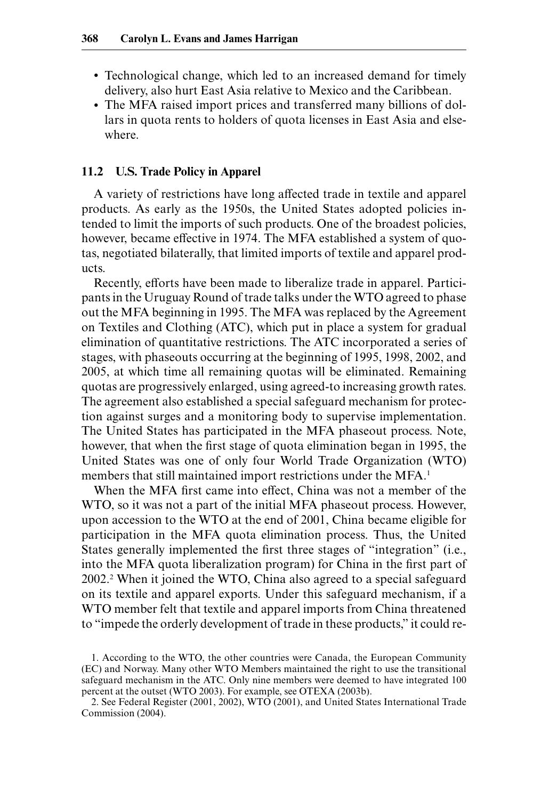- Technological change, which led to an increased demand for timely delivery, also hurt East Asia relative to Mexico and the Caribbean.
- The MFA raised import prices and transferred many billions of dollars in quota rents to holders of quota licenses in East Asia and elsewhere.

# **11.2 U.S. Trade Policy in Apparel**

A variety of restrictions have long affected trade in textile and apparel products. As early as the 1950s, the United States adopted policies intended to limit the imports of such products. One of the broadest policies, however, became effective in 1974. The MFA established a system of quotas, negotiated bilaterally, that limited imports of textile and apparel products.

Recently, efforts have been made to liberalize trade in apparel. Participants in the Uruguay Round of trade talks under the WTO agreed to phase out the MFA beginning in 1995. The MFA was replaced by the Agreement on Textiles and Clothing (ATC), which put in place a system for gradual elimination of quantitative restrictions. The ATC incorporated a series of stages, with phaseouts occurring at the beginning of 1995, 1998, 2002, and 2005, at which time all remaining quotas will be eliminated. Remaining quotas are progressively enlarged, using agreed-to increasing growth rates. The agreement also established a special safeguard mechanism for protection against surges and a monitoring body to supervise implementation. The United States has participated in the MFA phaseout process. Note, however, that when the first stage of quota elimination began in 1995, the United States was one of only four World Trade Organization (WTO) members that still maintained import restrictions under the MFA.<sup>1</sup>

When the MFA first came into effect, China was not a member of the WTO, so it was not a part of the initial MFA phaseout process. However, upon accession to the WTO at the end of 2001, China became eligible for participation in the MFA quota elimination process. Thus, the United States generally implemented the first three stages of "integration" (i.e., into the MFA quota liberalization program) for China in the first part of 2002.2 When it joined the WTO, China also agreed to a special safeguard on its textile and apparel exports. Under this safeguard mechanism, if a WTO member felt that textile and apparel imports from China threatened to "impede the orderly development of trade in these products," it could re-

<sup>1.</sup> According to the WTO, the other countries were Canada, the European Community (EC) and Norway. Many other WTO Members maintained the right to use the transitional safeguard mechanism in the ATC. Only nine members were deemed to have integrated 100 percent at the outset (WTO 2003). For example, see OTEXA (2003b).

<sup>2.</sup> See Federal Register (2001, 2002), WTO (2001), and United States International Trade Commission (2004).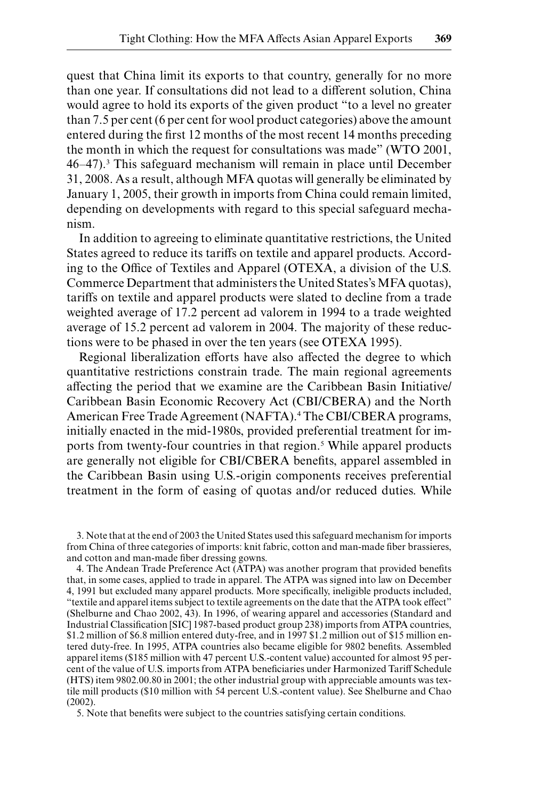quest that China limit its exports to that country, generally for no more than one year. If consultations did not lead to a different solution, China would agree to hold its exports of the given product "to a level no greater than 7.5 per cent (6 per cent for wool product categories) above the amount entered during the first 12 months of the most recent 14 months preceding the month in which the request for consultations was made" (WTO 2001, 46–47).3 This safeguard mechanism will remain in place until December 31, 2008. As a result, although MFA quotas will generally be eliminated by January 1, 2005, their growth in imports from China could remain limited, depending on developments with regard to this special safeguard mechanism.

In addition to agreeing to eliminate quantitative restrictions, the United States agreed to reduce its tariffs on textile and apparel products. According to the Office of Textiles and Apparel (OTEXA, a division of the U.S. Commerce Department that administers the United States's MFA quotas), tariffs on textile and apparel products were slated to decline from a trade weighted average of 17.2 percent ad valorem in 1994 to a trade weighted average of 15.2 percent ad valorem in 2004. The majority of these reductions were to be phased in over the ten years (see OTEXA 1995).

Regional liberalization efforts have also affected the degree to which quantitative restrictions constrain trade. The main regional agreements affecting the period that we examine are the Caribbean Basin Initiative/ Caribbean Basin Economic Recovery Act (CBI/CBERA) and the North American Free Trade Agreement (NAFTA).<sup>4</sup> The CBI/CBERA programs, initially enacted in the mid-1980s, provided preferential treatment for imports from twenty-four countries in that region.<sup>5</sup> While apparel products are generally not eligible for CBI/CBERA benefits, apparel assembled in the Caribbean Basin using U.S.-origin components receives preferential treatment in the form of easing of quotas and/or reduced duties. While

3. Note that at the end of 2003 the United States used this safeguard mechanism for imports from China of three categories of imports: knit fabric, cotton and man-made fiber brassieres, and cotton and man-made fiber dressing gowns.

4. The Andean Trade Preference Act (ATPA) was another program that provided benefits that, in some cases, applied to trade in apparel. The ATPA was signed into law on December 4, 1991 but excluded many apparel products. More specifically, ineligible products included, "textile and apparel items subject to textile agreements on the date that the ATPA took effect" (Shelburne and Chao 2002, 43). In 1996, of wearing apparel and accessories (Standard and Industrial Classification [SIC] 1987-based product group 238) imports from ATPA countries, \$1.2 million of \$6.8 million entered duty-free, and in 1997 \$1.2 million out of \$15 million entered duty-free. In 1995, ATPA countries also became eligible for 9802 benefits. Assembled apparel items (\$185 million with 47 percent U.S.-content value) accounted for almost 95 percent of the value of U.S. imports from ATPA beneficiaries under Harmonized Tariff Schedule (HTS) item 9802.00.80 in 2001; the other industrial group with appreciable amounts was textile mill products (\$10 million with 54 percent U.S.-content value). See Shelburne and Chao (2002).

5. Note that benefits were subject to the countries satisfying certain conditions.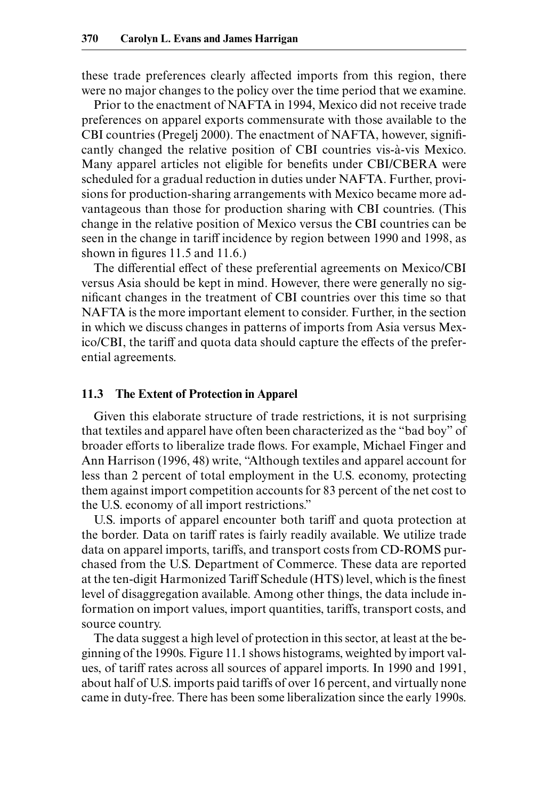these trade preferences clearly affected imports from this region, there were no major changes to the policy over the time period that we examine.

Prior to the enactment of NAFTA in 1994, Mexico did not receive trade preferences on apparel exports commensurate with those available to the CBI countries (Pregelj 2000). The enactment of NAFTA, however, significantly changed the relative position of CBI countries vis-à-vis Mexico. Many apparel articles not eligible for benefits under CBI/CBERA were scheduled for a gradual reduction in duties under NAFTA. Further, provisions for production-sharing arrangements with Mexico became more advantageous than those for production sharing with CBI countries. (This change in the relative position of Mexico versus the CBI countries can be seen in the change in tariff incidence by region between 1990 and 1998, as shown in figures 11.5 and 11.6.)

The differential effect of these preferential agreements on Mexico/CBI versus Asia should be kept in mind. However, there were generally no significant changes in the treatment of CBI countries over this time so that NAFTA is the more important element to consider. Further, in the section in which we discuss changes in patterns of imports from Asia versus Mexico/CBI, the tariff and quota data should capture the effects of the preferential agreements.

### **11.3 The Extent of Protection in Apparel**

Given this elaborate structure of trade restrictions, it is not surprising that textiles and apparel have often been characterized as the "bad boy" of broader efforts to liberalize trade flows. For example, Michael Finger and Ann Harrison (1996, 48) write, "Although textiles and apparel account for less than 2 percent of total employment in the U.S. economy, protecting them against import competition accounts for 83 percent of the net cost to the U.S. economy of all import restrictions."

U.S. imports of apparel encounter both tariff and quota protection at the border. Data on tariff rates is fairly readily available. We utilize trade data on apparel imports, tariffs, and transport costs from CD-ROMS purchased from the U.S. Department of Commerce. These data are reported at the ten-digit Harmonized Tariff Schedule (HTS) level, which is the finest level of disaggregation available. Among other things, the data include information on import values, import quantities, tariffs, transport costs, and source country.

The data suggest a high level of protection in this sector, at least at the beginning of the 1990s. Figure 11.1 shows histograms, weighted by import values, of tariff rates across all sources of apparel imports. In 1990 and 1991, about half of U.S. imports paid tariffs of over 16 percent, and virtually none came in duty-free. There has been some liberalization since the early 1990s.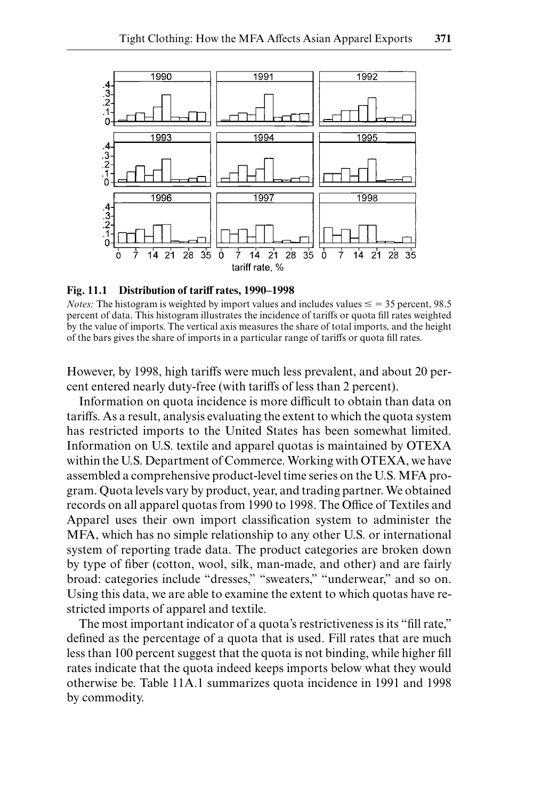

#### **Fig. 11.1 Distribution of tariff rates, 1990–1998**

*Notes:* The histogram is weighted by import values and includes values  $\le$  = 35 percent, 98.5 percent of data. This histogram illustrates the incidence of tariffs or quota fill rates weighted by the value of imports. The vertical axis measures the share of total imports, and the height of the bars gives the share of imports in a particular range of tariffs or quota fill rates.

However, by 1998, high tariffs were much less prevalent, and about 20 percent entered nearly duty-free (with tariffs of less than 2 percent).

Information on quota incidence is more difficult to obtain than data on tariffs. As a result, analysis evaluating the extent to which the quota system has restricted imports to the United States has been somewhat limited. Information on U.S. textile and apparel quotas is maintained by OTEXA within the U.S. Department of Commerce. Working with OTEXA, we have assembled a comprehensive product-level time series on the U.S. MFA program. Quota levels vary by product, year, and trading partner. We obtained records on all apparel quotas from 1990 to 1998. The Office of Textiles and Apparel uses their own import classification system to administer the MFA, which has no simple relationship to any other U.S. or international system of reporting trade data. The product categories are broken down by type of fiber (cotton, wool, silk, man-made, and other) and are fairly broad: categories include "dresses," "sweaters," "underwear," and so on. Using this data, we are able to examine the extent to which quotas have restricted imports of apparel and textile.

The most important indicator of a quota's restrictiveness is its "fill rate," defined as the percentage of a quota that is used. Fill rates that are much less than 100 percent suggest that the quota is not binding, while higher fill rates indicate that the quota indeed keeps imports below what they would otherwise be. Table 11A.1 summarizes quota incidence in 1991 and 1998 by commodity.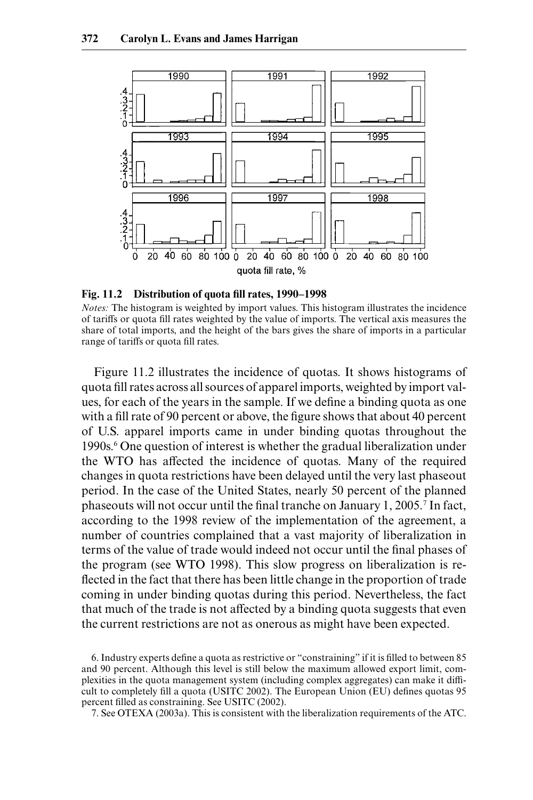

**Fig. 11.2 Distribution of quota fill rates, 1990–1998**

*Notes:* The histogram is weighted by import values. This histogram illustrates the incidence of tariffs or quota fill rates weighted by the value of imports. The vertical axis measures the share of total imports, and the height of the bars gives the share of imports in a particular range of tariffs or quota fill rates.

Figure 11.2 illustrates the incidence of quotas. It shows histograms of quota fill rates across all sources of apparel imports, weighted by import values, for each of the years in the sample. If we define a binding quota as one with a fill rate of 90 percent or above, the figure shows that about 40 percent of U.S. apparel imports came in under binding quotas throughout the 1990s.6 One question of interest is whether the gradual liberalization under the WTO has affected the incidence of quotas. Many of the required changes in quota restrictions have been delayed until the very last phaseout period. In the case of the United States, nearly 50 percent of the planned phaseouts will not occur until the final tranche on January 1, 2005.7 In fact, according to the 1998 review of the implementation of the agreement, a number of countries complained that a vast majority of liberalization in terms of the value of trade would indeed not occur until the final phases of the program (see WTO 1998). This slow progress on liberalization is reflected in the fact that there has been little change in the proportion of trade coming in under binding quotas during this period. Nevertheless, the fact that much of the trade is not affected by a binding quota suggests that even the current restrictions are not as onerous as might have been expected.

<sup>6.</sup> Industry experts define a quota as restrictive or "constraining" if it is filled to between 85 and 90 percent. Although this level is still below the maximum allowed export limit, complexities in the quota management system (including complex aggregates) can make it difficult to completely fill a quota (USITC 2002). The European Union (EU) defines quotas 95 percent filled as constraining. See USITC (2002).

<sup>7.</sup> See OTEXA (2003a). This is consistent with the liberalization requirements of the ATC.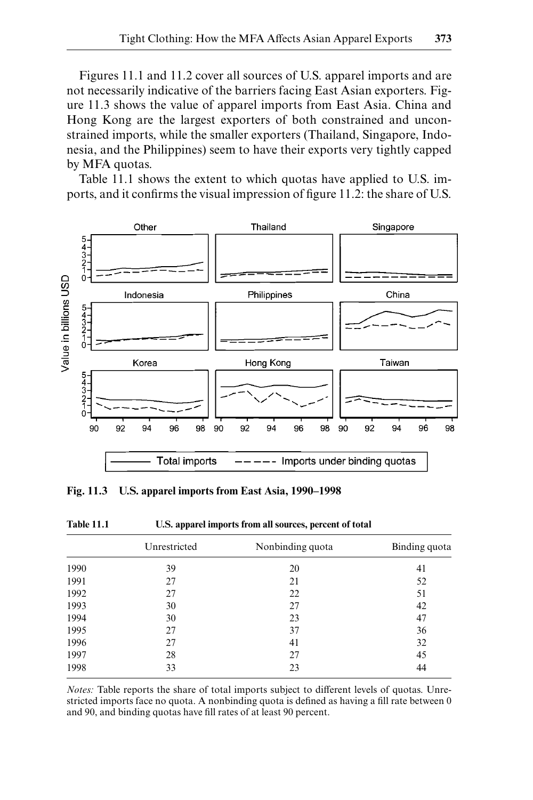Figures 11.1 and 11.2 cover all sources of U.S. apparel imports and are not necessarily indicative of the barriers facing East Asian exporters. Figure 11.3 shows the value of apparel imports from East Asia. China and Hong Kong are the largest exporters of both constrained and unconstrained imports, while the smaller exporters (Thailand, Singapore, Indonesia, and the Philippines) seem to have their exports very tightly capped by MFA quotas.

Table 11.1 shows the extent to which quotas have applied to U.S. imports, and it confirms the visual impression of figure 11.2: the share of U.S.



**Fig. 11.3 U.S. apparel imports from East Asia, 1990–1998**

| Table 11.1 | U.S. apparel imports from all sources, percent of total |  |
|------------|---------------------------------------------------------|--|
|            |                                                         |  |

|      | Unrestricted | Nonbinding quota | Binding quota |
|------|--------------|------------------|---------------|
| 1990 | 39           | 20               | 41            |
| 1991 | 27           | 21               | 52            |
| 1992 | 27           | 22               | 51            |
| 1993 | 30           | 27               | 42            |
| 1994 | 30           | 23               | 47            |
| 1995 | 27           | 37               | 36            |
| 1996 | 27           | 41               | 32            |
| 1997 | 28           | 27               | 45            |
| 1998 | 33           | 23               | 44            |

*Notes:* Table reports the share of total imports subject to different levels of quotas. Unrestricted imports face no quota. A nonbinding quota is defined as having a fill rate between 0 and 90, and binding quotas have fill rates of at least 90 percent.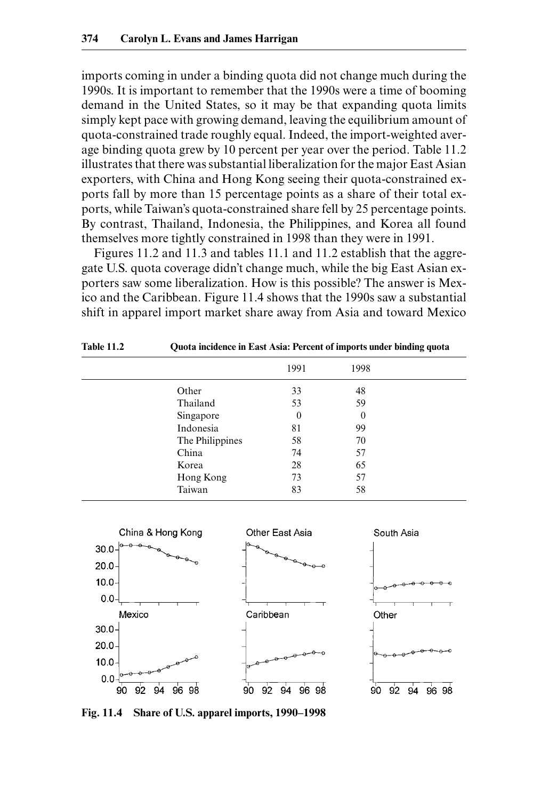imports coming in under a binding quota did not change much during the 1990s. It is important to remember that the 1990s were a time of booming demand in the United States, so it may be that expanding quota limits simply kept pace with growing demand, leaving the equilibrium amount of quota-constrained trade roughly equal. Indeed, the import-weighted average binding quota grew by 10 percent per year over the period. Table 11.2 illustrates that there was substantial liberalization for the major East Asian exporters, with China and Hong Kong seeing their quota-constrained exports fall by more than 15 percentage points as a share of their total exports, while Taiwan's quota-constrained share fell by 25 percentage points. By contrast, Thailand, Indonesia, the Philippines, and Korea all found themselves more tightly constrained in 1998 than they were in 1991.

Figures 11.2 and 11.3 and tables 11.1 and 11.2 establish that the aggregate U.S. quota coverage didn't change much, while the big East Asian exporters saw some liberalization. How is this possible? The answer is Mexico and the Caribbean. Figure 11.4 shows that the 1990s saw a substantial shift in apparel import market share away from Asia and toward Mexico

| <b>Table 11.2</b> | Quota incidence in East Asia: Percent of imports under binding quota |          |                  |  |
|-------------------|----------------------------------------------------------------------|----------|------------------|--|
|                   |                                                                      | 1991     | 1998             |  |
|                   | Other                                                                | 33       | 48               |  |
|                   | Thailand                                                             | 53       | 59               |  |
|                   | Singapore                                                            | $\theta$ | $\boldsymbol{0}$ |  |
|                   | Indonesia                                                            | 81       | 99               |  |
|                   | The Philippines                                                      | 58       | 70               |  |
|                   | China                                                                | 74       | 57               |  |
|                   | Korea                                                                | 28       | 65               |  |
|                   | Hong Kong                                                            | 73       | 57               |  |
|                   | Taiwan                                                               | 83       | 58               |  |



**Fig. 11.4 Share of U.S. apparel imports, 1990–1998**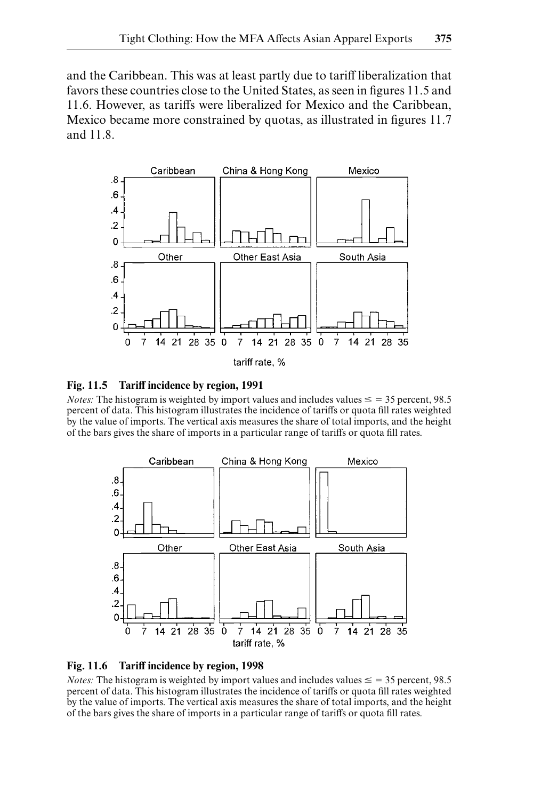and the Caribbean. This was at least partly due to tariff liberalization that favors these countries close to the United States, as seen in figures 11.5 and 11.6. However, as tariffs were liberalized for Mexico and the Caribbean, Mexico became more constrained by quotas, as illustrated in figures 11.7 and 11.8.



#### **Fig. 11.5 Tariff incidence by region, 1991**

*Notes:* The histogram is weighted by import values and includes values  $\le$  = 35 percent, 98.5 percent of data. This histogram illustrates the incidence of tariffs or quota fill rates weighted by the value of imports. The vertical axis measures the share of total imports, and the height of the bars gives the share of imports in a particular range of tariffs or quota fill rates.





*Notes:* The histogram is weighted by import values and includes values  $\le$  = 35 percent, 98.5 percent of data. This histogram illustrates the incidence of tariffs or quota fill rates weighted by the value of imports. The vertical axis measures the share of total imports, and the height of the bars gives the share of imports in a particular range of tariffs or quota fill rates.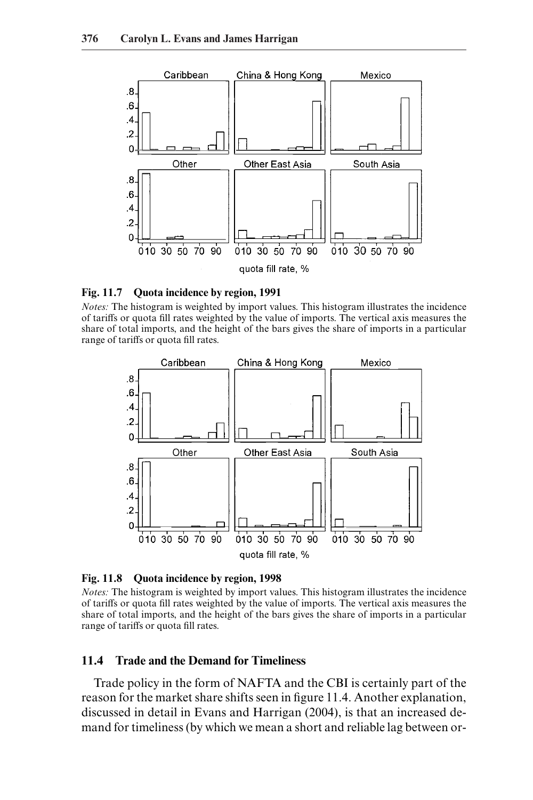

#### **Fig. 11.7 Quota incidence by region, 1991**

*Notes:* The histogram is weighted by import values. This histogram illustrates the incidence of tariffs or quota fill rates weighted by the value of imports. The vertical axis measures the share of total imports, and the height of the bars gives the share of imports in a particular range of tariffs or quota fill rates.



**Fig. 11.8 Quota incidence by region, 1998**

*Notes:* The histogram is weighted by import values. This histogram illustrates the incidence of tariffs or quota fill rates weighted by the value of imports. The vertical axis measures the share of total imports, and the height of the bars gives the share of imports in a particular range of tariffs or quota fill rates.

#### **11.4 Trade and the Demand for Timeliness**

Trade policy in the form of NAFTA and the CBI is certainly part of the reason for the market share shifts seen in figure 11.4. Another explanation, discussed in detail in Evans and Harrigan (2004), is that an increased demand for timeliness (by which we mean a short and reliable lag between or-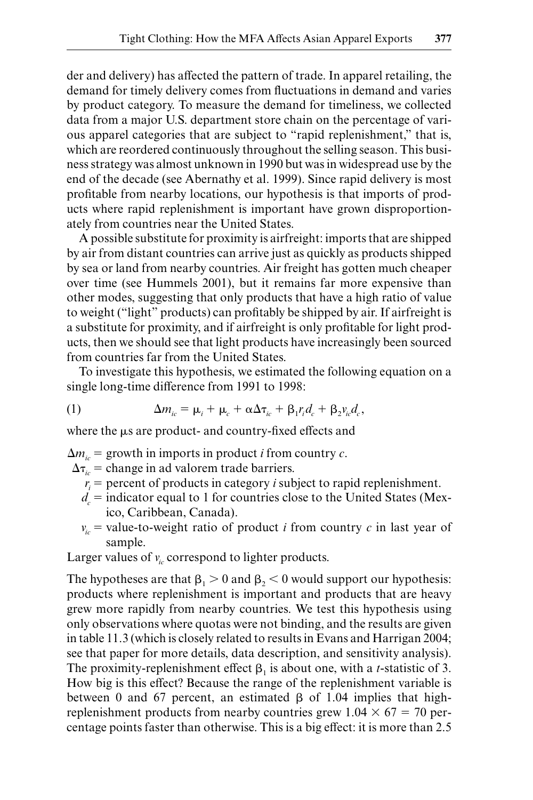der and delivery) has affected the pattern of trade. In apparel retailing, the demand for timely delivery comes from fluctuations in demand and varies by product category. To measure the demand for timeliness, we collected data from a major U.S. department store chain on the percentage of various apparel categories that are subject to "rapid replenishment," that is, which are reordered continuously throughout the selling season. This business strategy was almost unknown in 1990 but was in widespread use by the end of the decade (see Abernathy et al. 1999). Since rapid delivery is most profitable from nearby locations, our hypothesis is that imports of products where rapid replenishment is important have grown disproportionately from countries near the United States.

A possible substitute for proximity is airfreight: imports that are shipped by air from distant countries can arrive just as quickly as products shipped by sea or land from nearby countries. Air freight has gotten much cheaper over time (see Hummels 2001), but it remains far more expensive than other modes, suggesting that only products that have a high ratio of value to weight ("light" products) can profitably be shipped by air. If airfreight is a substitute for proximity, and if airfreight is only profitable for light products, then we should see that light products have increasingly been sourced from countries far from the United States.

To investigate this hypothesis, we estimated the following equation on a single long-time difference from 1991 to 1998:

(1) 
$$
\Delta m_{ic} = \mu_i + \mu_c + \alpha \Delta \tau_{ic} + \beta_1 r_i d_c + \beta_2 v_{ic} d_c,
$$

where the  $\mu s$  are product- and country-fixed effects and

 $\Delta m_{ic}$  = growth in imports in product *i* from country *c*.

 $\Delta\tau_{ic}$  = change in ad valorem trade barriers.

- $r_i$  = percent of products in category *i* subject to rapid replenishment.
- $d_c$  = indicator equal to 1 for countries close to the United States (Mexico, Caribbean, Canada).
- $v_{ic}$  = value-to-weight ratio of product *i* from country *c* in last year of sample.

Larger values of  $v_i$  correspond to lighter products.

The hypotheses are that  $\beta_1 > 0$  and  $\beta_2 < 0$  would support our hypothesis: products where replenishment is important and products that are heavy grew more rapidly from nearby countries. We test this hypothesis using only observations where quotas were not binding, and the results are given in table 11.3 (which is closely related to results in Evans and Harrigan 2004; see that paper for more details, data description, and sensitivity analysis). The proximity-replenishment effect  $\beta_1$  is about one, with a *t*-statistic of 3. How big is this effect? Because the range of the replenishment variable is between 0 and 67 percent, an estimated  $\beta$  of 1.04 implies that highreplenishment products from nearby countries grew  $1.04 \times 67 = 70$  percentage points faster than otherwise. This is a big effect: it is more than 2.5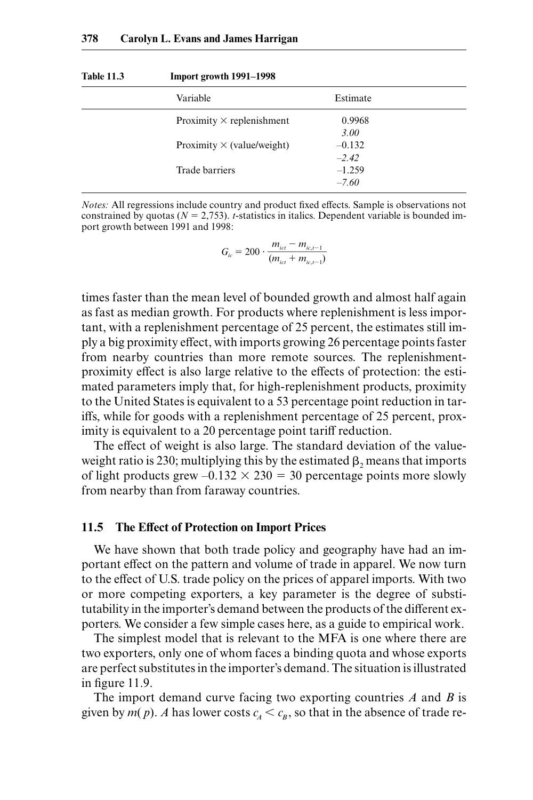**Table 11.3 Import growth 1991–1998**

| $\overline{\phantom{a}}$          |          |
|-----------------------------------|----------|
| Variable                          | Estimate |
| Proximity $\times$ replenishment  | 0.9968   |
|                                   | 3.00     |
| Proximity $\times$ (value/weight) | $-0.132$ |
|                                   | $-2.42$  |
| Trade barriers                    | $-1.259$ |
|                                   | $-7.60$  |
|                                   |          |

*Notes:* All regressions include country and product fixed effects. Sample is observations not constrained by quotas  $(N = 2.753)$ . *t*-statistics in italics. Dependent variable is bounded import growth between 1991 and 1998:

$$
G_{ic} = 200 \cdot \frac{m_{ic} - m_{ic,t-1}}{(m_{ic,t} + m_{ic,t-1})}
$$

times faster than the mean level of bounded growth and almost half again as fast as median growth. For products where replenishment is less important, with a replenishment percentage of 25 percent, the estimates still imply a big proximity effect, with imports growing 26 percentage points faster from nearby countries than more remote sources. The replenishmentproximity effect is also large relative to the effects of protection: the estimated parameters imply that, for high-replenishment products, proximity to the United States is equivalent to a 53 percentage point reduction in tariffs, while for goods with a replenishment percentage of 25 percent, proximity is equivalent to a 20 percentage point tariff reduction.

The effect of weight is also large. The standard deviation of the valueweight ratio is 230; multiplying this by the estimated  $\beta$ , means that imports of light products grew  $-0.132 \times 230 = 30$  percentage points more slowly from nearby than from faraway countries.

#### **11.5 The Effect of Protection on Import Prices**

We have shown that both trade policy and geography have had an important effect on the pattern and volume of trade in apparel. We now turn to the effect of U.S. trade policy on the prices of apparel imports. With two or more competing exporters, a key parameter is the degree of substitutability in the importer's demand between the products of the different exporters. We consider a few simple cases here, as a guide to empirical work.

The simplest model that is relevant to the MFA is one where there are two exporters, only one of whom faces a binding quota and whose exports are perfect substitutes in the importer's demand. The situation is illustrated in figure 11.9.

The import demand curve facing two exporting countries *A* and *B* is given by *m*(*p*). *A* has lower costs  $c_A < c_B$ , so that in the absence of trade re-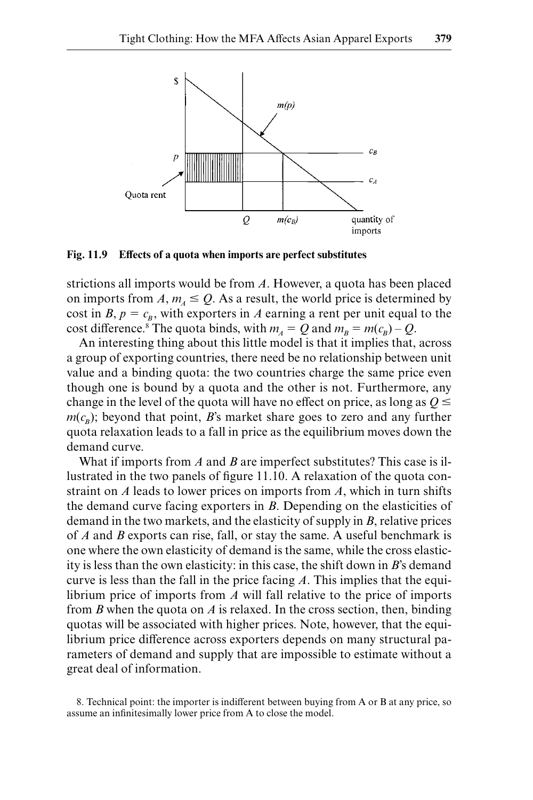

**Fig. 11.9 Effects of a quota when imports are perfect substitutes**

strictions all imports would be from *A*. However, a quota has been placed on imports from  $A, m_A \le Q$ . As a result, the world price is determined by cost in  $B$ ,  $p = c_B$ , with exporters in  $A$  earning a rent per unit equal to the cost difference.<sup>8</sup> The quota binds, with  $m_A = Q$  and  $m_B = m(c_B) - Q$ .

An interesting thing about this little model is that it implies that, across a group of exporting countries, there need be no relationship between unit value and a binding quota: the two countries charge the same price even though one is bound by a quota and the other is not. Furthermore, any change in the level of the quota will have no effect on price, as long as  $Q \leq$  $m(c<sub>B</sub>)$ ; beyond that point, *B*'s market share goes to zero and any further quota relaxation leads to a fall in price as the equilibrium moves down the demand curve.

What if imports from *A* and *B* are imperfect substitutes? This case is illustrated in the two panels of figure 11.10. A relaxation of the quota constraint on *A* leads to lower prices on imports from *A*, which in turn shifts the demand curve facing exporters in *B*. Depending on the elasticities of demand in the two markets, and the elasticity of supply in *B*, relative prices of *A* and *B* exports can rise, fall, or stay the same. A useful benchmark is one where the own elasticity of demand is the same, while the cross elasticity is less than the own elasticity: in this case, the shift down in *B*'s demand curve is less than the fall in the price facing *A*. This implies that the equilibrium price of imports from *A* will fall relative to the price of imports from *B* when the quota on *A* is relaxed. In the cross section, then, binding quotas will be associated with higher prices. Note, however, that the equilibrium price difference across exporters depends on many structural parameters of demand and supply that are impossible to estimate without a great deal of information.

<sup>8.</sup> Technical point: the importer is indifferent between buying from A or B at any price, so assume an infinitesimally lower price from A to close the model.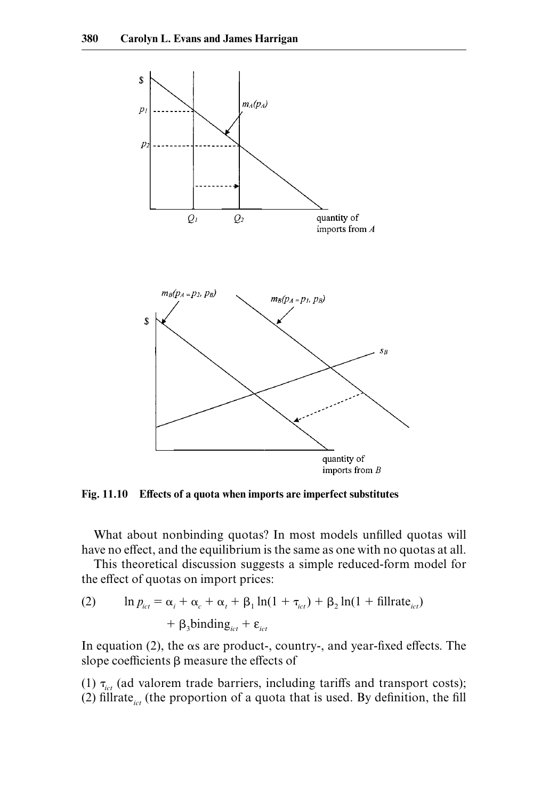

**Fig. 11.10 Effects of a quota when imports are imperfect substitutes**

What about nonbinding quotas? In most models unfilled quotas will have no effect, and the equilibrium is the same as one with no quotas at all.

This theoretical discussion suggests a simple reduced-form model for the effect of quotas on import prices:

(2) 
$$
\ln p_{ict} = \alpha_i + \alpha_c + \alpha_l + \beta_1 \ln(1 + \tau_{ict}) + \beta_2 \ln(1 + \text{fillrate}_{ict}) + \beta_3 \text{binding}_{ict} + \epsilon_{ict}
$$

In equation (2), the  $\alpha s$  are product-, country-, and year-fixed effects. The slope coefficients  $\beta$  measure the effects of

(1)  $\tau_{\text{ict}}$  (ad valorem trade barriers, including tariffs and transport costs); (2) fillrate<sub>ict</sub> (the proportion of a quota that is used. By definition, the fill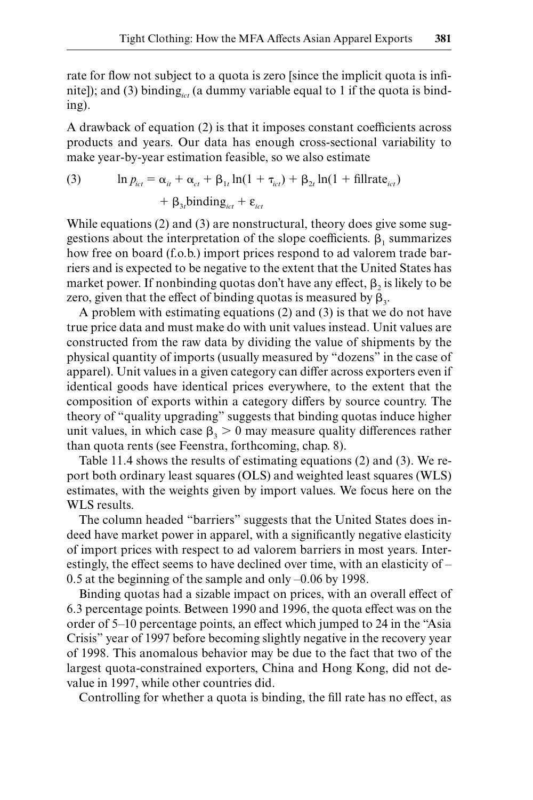rate for flow not subject to a quota is zero [since the implicit quota is infinite]); and (3) binding<sub>ict</sub> (a dummy variable equal to 1 if the quota is binding).

A drawback of equation (2) is that it imposes constant coefficients across products and years. Our data has enough cross-sectional variability to make year-by-year estimation feasible, so we also estimate

(3) 
$$
\ln p_{ict} = \alpha_{it} + \alpha_{ct} + \beta_{1t} \ln(1 + \tau_{ict}) + \beta_{2t} \ln(1 + \text{fillrate}_{ict}) + \beta_{3t} \text{binding}_{ict} + \epsilon_{ict}
$$

While equations (2) and (3) are nonstructural, theory does give some suggestions about the interpretation of the slope coefficients.  $\beta_1$  summarizes how free on board (f.o.b.) import prices respond to ad valorem trade barriers and is expected to be negative to the extent that the United States has market power. If nonbinding quotas don't have any effect,  $\beta_2$  is likely to be zero, given that the effect of binding quotas is measured by  $\beta_3$ .

A problem with estimating equations (2) and (3) is that we do not have true price data and must make do with unit values instead. Unit values are constructed from the raw data by dividing the value of shipments by the physical quantity of imports (usually measured by "dozens" in the case of apparel). Unit values in a given category can differ across exporters even if identical goods have identical prices everywhere, to the extent that the composition of exports within a category differs by source country. The theory of "quality upgrading" suggests that binding quotas induce higher unit values, in which case  $\beta$   $> 0$  may measure quality differences rather than quota rents (see Feenstra, forthcoming, chap. 8).

Table 11.4 shows the results of estimating equations (2) and (3). We report both ordinary least squares (OLS) and weighted least squares (WLS) estimates, with the weights given by import values. We focus here on the WLS results.

The column headed "barriers" suggests that the United States does indeed have market power in apparel, with a significantly negative elasticity of import prices with respect to ad valorem barriers in most years. Interestingly, the effect seems to have declined over time, with an elasticity of – 0.5 at the beginning of the sample and only –0.06 by 1998.

Binding quotas had a sizable impact on prices, with an overall effect of 6.3 percentage points. Between 1990 and 1996, the quota effect was on the order of 5–10 percentage points, an effect which jumped to 24 in the "Asia Crisis" year of 1997 before becoming slightly negative in the recovery year of 1998. This anomalous behavior may be due to the fact that two of the largest quota-constrained exporters, China and Hong Kong, did not devalue in 1997, while other countries did.

Controlling for whether a quota is binding, the fill rate has no effect, as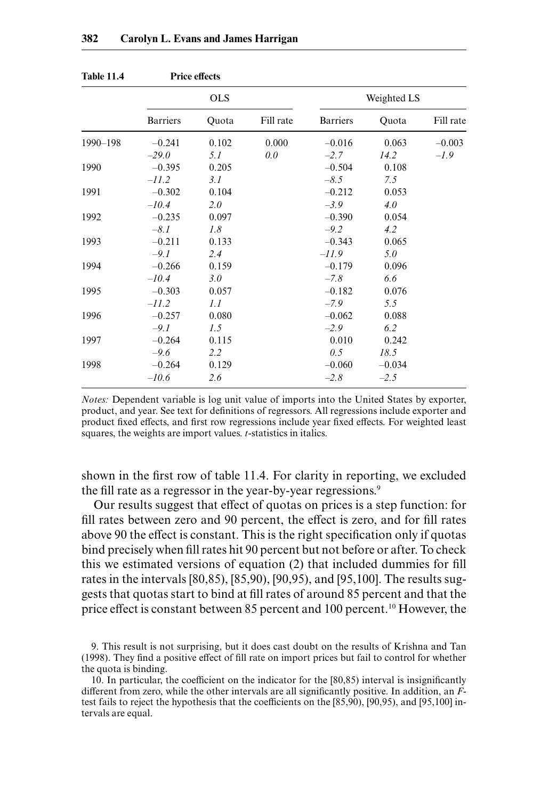| <b>OLS</b>      |               | Weighted LS |                 |          |           |
|-----------------|---------------|-------------|-----------------|----------|-----------|
| <b>Barriers</b> | Quota         | Fill rate   | <b>Barriers</b> | Quota    | Fill rate |
| $-0.241$        | 0.102         | 0.000       | $-0.016$        | 0.063    | $-0.003$  |
| $-29.0$         | 5.1           | 0.0         | $-2.7$          | 14.2     | $-1.9$    |
| $-0.395$        | 0.205         |             | $-0.504$        | 0.108    |           |
| $-11.2$         | 3.1           |             | $-8.5$          | 7.5      |           |
| $-0.302$        | 0.104         |             | $-0.212$        | 0.053    |           |
| $-10.4$         | 2.0           |             | $-3.9$          | 4.0      |           |
| $-0.235$        | 0.097         |             | $-0.390$        | 0.054    |           |
| $-8.1$          | 1.8           |             | $-9.2$          | 4.2      |           |
| $-0.211$        | 0.133         |             | $-0.343$        | 0.065    |           |
| $-9.1$          | 2.4           |             | $-11.9$         | 5.0      |           |
| $-0.266$        | 0.159         |             | $-0.179$        | 0.096    |           |
| $-10.4$         | 3.0           |             | $-7.8$          | 6.6      |           |
| $-0.303$        | 0.057         |             | $-0.182$        | 0.076    |           |
| $-11.2$         | 1.1           |             | $-7.9$          | 5.5      |           |
| $-0.257$        | 0.080         |             | $-0.062$        | 0.088    |           |
| $-9.1$          | 1.5           |             | $-2.9$          | 6.2      |           |
| $-0.264$        | 0.115         |             | 0.010           | 0.242    |           |
| $-9.6$          | $2.2^{\circ}$ |             | 0.5             | 18.5     |           |
| $-0.264$        | 0.129         |             | $-0.060$        | $-0.034$ |           |
| $-10.6$         | 2.6           |             | $-2.8$          | $-2.5$   |           |
|                 |               |             |                 |          |           |

**Table 11.4 Price effects**

*Notes:* Dependent variable is log unit value of imports into the United States by exporter, product, and year. See text for definitions of regressors. All regressions include exporter and product fixed effects, and first row regressions include year fixed effects. For weighted least squares, the weights are import values. *t*-statistics in italics.

shown in the first row of table 11.4. For clarity in reporting, we excluded the fill rate as a regressor in the year-by-year regressions.<sup>9</sup>

Our results suggest that effect of quotas on prices is a step function: for fill rates between zero and 90 percent, the effect is zero, and for fill rates above 90 the effect is constant. This is the right specification only if quotas bind precisely when fill rates hit 90 percent but not before or after. To check this we estimated versions of equation (2) that included dummies for fill rates in the intervals [80,85), [85,90), [90,95), and [95,100]. The results suggests that quotas start to bind at fill rates of around 85 percent and that the price effect is constant between 85 percent and 100 percent.10 However, the

<sup>9.</sup> This result is not surprising, but it does cast doubt on the results of Krishna and Tan (1998). They find a positive effect of fill rate on import prices but fail to control for whether the quota is binding.

<sup>10.</sup> In particular, the coefficient on the indicator for the [80,85) interval is insignificantly different from zero, while the other intervals are all significantly positive. In addition, an *F*test fails to reject the hypothesis that the coefficients on the [85,90), [90,95), and [95,100] intervals are equal.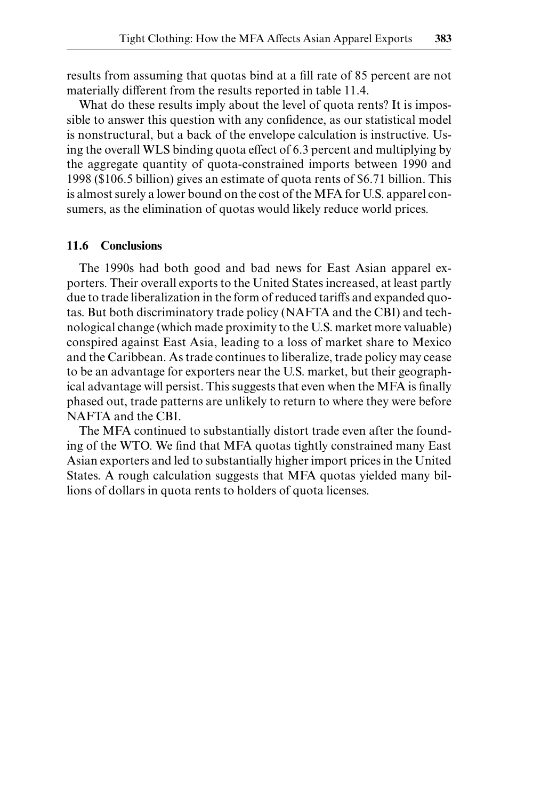results from assuming that quotas bind at a fill rate of 85 percent are not materially different from the results reported in table 11.4.

What do these results imply about the level of quota rents? It is impossible to answer this question with any confidence, as our statistical model is nonstructural, but a back of the envelope calculation is instructive. Using the overall WLS binding quota effect of 6.3 percent and multiplying by the aggregate quantity of quota-constrained imports between 1990 and 1998 (\$106.5 billion) gives an estimate of quota rents of \$6.71 billion. This is almost surely a lower bound on the cost of the MFA for U.S. apparel consumers, as the elimination of quotas would likely reduce world prices.

# **11.6 Conclusions**

The 1990s had both good and bad news for East Asian apparel exporters. Their overall exports to the United States increased, at least partly due to trade liberalization in the form of reduced tariffs and expanded quotas. But both discriminatory trade policy (NAFTA and the CBI) and technological change (which made proximity to the U.S. market more valuable) conspired against East Asia, leading to a loss of market share to Mexico and the Caribbean. As trade continues to liberalize, trade policy may cease to be an advantage for exporters near the U.S. market, but their geographical advantage will persist. This suggests that even when the MFA is finally phased out, trade patterns are unlikely to return to where they were before NAFTA and the CBI.

The MFA continued to substantially distort trade even after the founding of the WTO. We find that MFA quotas tightly constrained many East Asian exporters and led to substantially higher import prices in the United States. A rough calculation suggests that MFA quotas yielded many billions of dollars in quota rents to holders of quota licenses.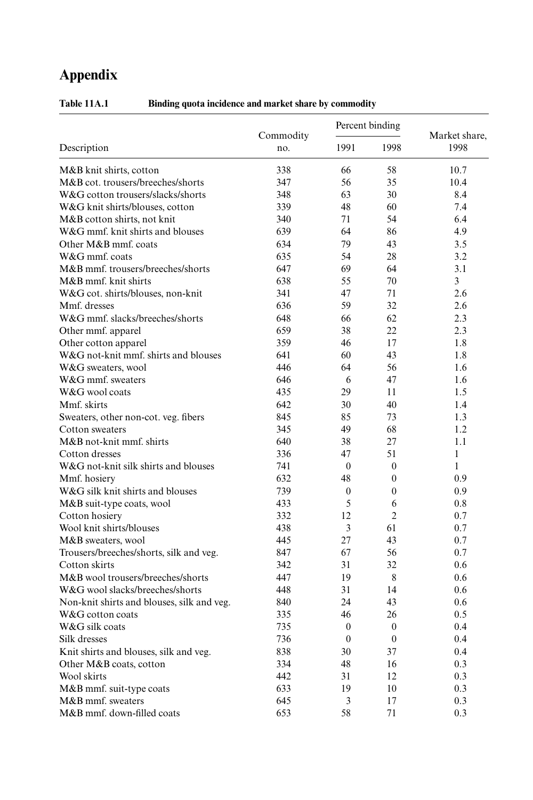# **Appendix**

**Table 11A.1 Binding quota incidence and market share by commodity**

|                                            | Commodity<br>no. |              | Percent binding | Market share, |
|--------------------------------------------|------------------|--------------|-----------------|---------------|
| Description                                |                  | 1991         | 1998            | 1998          |
| M&B knit shirts, cotton                    | 338              | 66           | 58              | 10.7          |
| M&B cot. trousers/breeches/shorts          | 347              | 56           | 35              | 10.4          |
| W&G cotton trousers/slacks/shorts          | 348              | 63           | 30              | 8.4           |
| W&G knit shirts/blouses, cotton            | 339              | 48           | 60              | 7.4           |
| M&B cotton shirts, not knit                | 340              | 71           | 54              | 6.4           |
| W&G mmf. knit shirts and blouses           | 639              | 64           | 86              | 4.9           |
| Other M&B mmf. coats                       | 634              | 79           | 43              | 3.5           |
| W&G mmf. coats                             | 635              | 54           | 28              | 3.2           |
| M&B mmf. trousers/breeches/shorts          | 647              | 69           | 64              | 3.1           |
| M&B mmf. knit shirts                       | 638              | 55           | 70              | 3             |
| W&G cot. shirts/blouses, non-knit          | 341              | 47           | 71              | 2.6           |
| Mmf. dresses                               | 636              | 59           | 32              | 2.6           |
| W&G mmf. slacks/breeches/shorts            | 648              | 66           | 62              | 2.3           |
| Other mmf. apparel                         | 659              | 38           | 22              | 2.3           |
| Other cotton apparel                       | 359              | 46           | 17              | 1.8           |
| W&G not-knit mmf. shirts and blouses       | 641              | 60           | 43              | 1.8           |
| W&G sweaters, wool                         | 446              | 64           | 56              | 1.6           |
| W&G mmf. sweaters                          | 646              | 6            | 47              | 1.6           |
| W&G wool coats                             | 435              | 29           | 11              | 1.5           |
| Mmf. skirts                                | 642              | 30           | 40              | 1.4           |
| Sweaters, other non-cot. veg. fibers       | 845              | 85           | 73              | 1.3           |
| Cotton sweaters                            | 345              | 49           | 68              | 1.2           |
| M&B not-knit mmf. shirts                   | 640              | 38           | 27              | 1.1           |
| Cotton dresses                             | 336              | 47           | 51              | $\mathbf{1}$  |
| W&G not-knit silk shirts and blouses       | 741              | $\theta$     | $\theta$        | 1             |
| Mmf. hosiery                               | 632              | 48           | $\mathbf{0}$    | 0.9           |
| W&G silk knit shirts and blouses           | 739              | $\mathbf{0}$ | $\mathbf{0}$    | 0.9           |
| M&B suit-type coats, wool                  | 433              | 5            | 6               | 0.8           |
| Cotton hosiery                             | 332              | 12           | $\overline{2}$  | 0.7           |
| Wool knit shirts/blouses                   | 438              | 3            | 61              | 0.7           |
| M&B sweaters, wool                         | 445              | 27           | 43              | 0.7           |
| Trousers/breeches/shorts, silk and veg.    | 847              | 67           | 56              | 0.7           |
| Cotton skirts                              | 342              | 31           | 32              | 0.6           |
| M&B wool trousers/breeches/shorts          | 447              | 19           | 8               | 0.6           |
| W&G wool slacks/breeches/shorts            | 448              | 31           | 14              | 0.6           |
| Non-knit shirts and blouses, silk and veg. | 840              | 24           | 43              | 0.6           |
| W&G cotton coats                           | 335              | 46           | 26              | 0.5           |
| W&G silk coats                             | 735              | $\mathbf{0}$ | $\theta$        | 0.4           |
| Silk dresses                               | 736              | $\mathbf{0}$ | $\mathbf{0}$    | 0.4           |
| Knit shirts and blouses, silk and veg.     | 838              | 30           | 37              | 0.4           |
| Other M&B coats, cotton                    | 334              | 48           | 16              | 0.3           |
| Wool skirts                                | 442              | 31           | 12              | 0.3           |
| M&B mmf. suit-type coats                   | 633              | 19           | 10              | 0.3           |
| M&B mmf. sweaters                          | 645              | 3            | 17              | 0.3           |
| M&B mmf. down-filled coats                 | 653              | 58           | 71              | 0.3           |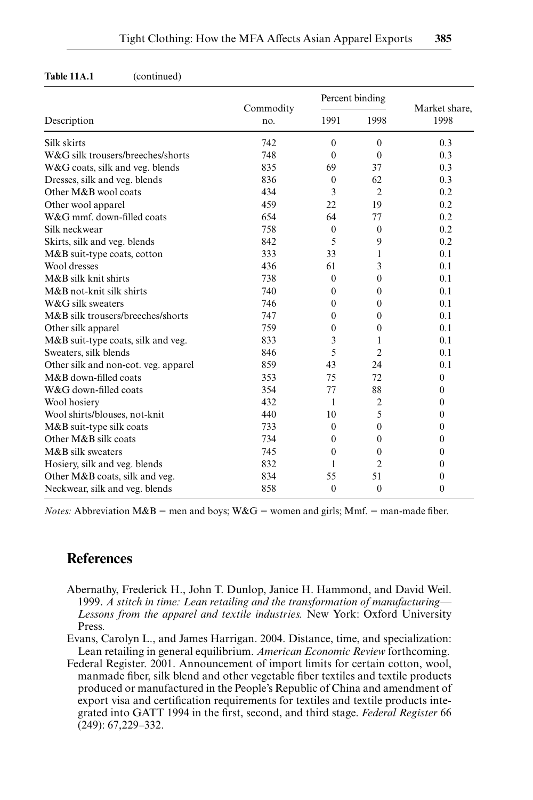### Table 11A.1 (continued)

|                                      | Commodity | Percent binding |                | Market share. |  |
|--------------------------------------|-----------|-----------------|----------------|---------------|--|
| Description                          | no.       | 1991            | 1998           | 1998          |  |
| Silk skirts                          | 742       | $\theta$        | $\theta$       | 0.3           |  |
| W&G silk trousers/breeches/shorts    | 748       | $\theta$        | $\theta$       | 0.3           |  |
| W&G coats, silk and veg. blends      | 835       | 69              | 37             | 0.3           |  |
| Dresses, silk and veg. blends        | 836       | $\mathbf{0}$    | 62             | 0.3           |  |
| Other M&B wool coats                 | 434       | 3               | $\overline{2}$ | 0.2           |  |
| Other wool apparel                   | 459       | 22              | 19             | 0.2           |  |
| W&G mmf. down-filled coats           | 654       | 64              | 77             | 0.2           |  |
| Silk neckwear                        | 758       | $\mathbf{0}$    | $\theta$       | 0.2           |  |
| Skirts, silk and veg. blends         | 842       | 5               | 9              | 0.2           |  |
| M&B suit-type coats, cotton          | 333       | 33              | 1              | 0.1           |  |
| Wool dresses                         | 436       | 61              | 3              | 0.1           |  |
| M&B silk knit shirts                 | 738       | $\theta$        | $\theta$       | 0.1           |  |
| M&B not-knit silk shirts             | 740       | $\theta$        | $\theta$       | 0.1           |  |
| W&G silk sweaters                    | 746       | $\theta$        | $\theta$       | 0.1           |  |
| M&B silk trousers/breeches/shorts    | 747       | $\theta$        | $\theta$       | 0.1           |  |
| Other silk apparel                   | 759       | $\mathbf{0}$    | $\mathbf{0}$   | 0.1           |  |
| M&B suit-type coats, silk and veg.   | 833       | 3               | 1              | 0.1           |  |
| Sweaters, silk blends                | 846       | 5               | $\overline{2}$ | 0.1           |  |
| Other silk and non-cot. veg. apparel | 859       | 43              | 24             | 0.1           |  |
| M&B down-filled coats                | 353       | 75              | 72             | $\theta$      |  |
| W&G down-filled coats                | 354       | 77              | 88             | $\theta$      |  |
| Wool hosiery                         | 432       | 1               | $\overline{2}$ | $\theta$      |  |
| Wool shirts/blouses, not-knit        | 440       | 10              | 5              | $\mathbf{0}$  |  |
| M&B suit-type silk coats             | 733       | $\mathbf{0}$    | $\theta$       | $\theta$      |  |
| Other M&B silk coats                 | 734       | $\mathbf{0}$    | $\mathbf{0}$   | $\mathbf{0}$  |  |
| M&B silk sweaters                    | 745       | $\mathbf{0}$    | $\mathbf{0}$   | $\mathbf{0}$  |  |
| Hosiery, silk and veg. blends        | 832       | 1               | $\overline{c}$ | $\theta$      |  |
| Other M&B coats, silk and veg.       | 834       | 55              | 51             | $\mathbf{0}$  |  |
| Neckwear, silk and veg. blends       | 858       | $\theta$        | $\theta$       | $\theta$      |  |

*Notes:* Abbreviation  $M\&B$  = men and boys;  $W\&G$  = women and girls; Mmf. = man-made fiber.

# **References**

Abernathy, Frederick H., John T. Dunlop, Janice H. Hammond, and David Weil. 1999. *A stitch in time: Lean retailing and the transformation of manufacturing— Lessons from the apparel and textile industries.* New York: Oxford University Press.

Evans, Carolyn L., and James Harrigan. 2004. Distance, time, and specialization: Lean retailing in general equilibrium. *American Economic Review* forthcoming.

Federal Register. 2001. Announcement of import limits for certain cotton, wool, manmade fiber, silk blend and other vegetable fiber textiles and textile products produced or manufactured in the People's Republic of China and amendment of export visa and certification requirements for textiles and textile products integrated into GATT 1994 in the first, second, and third stage. *Federal Register* 66 (249): 67,229–332.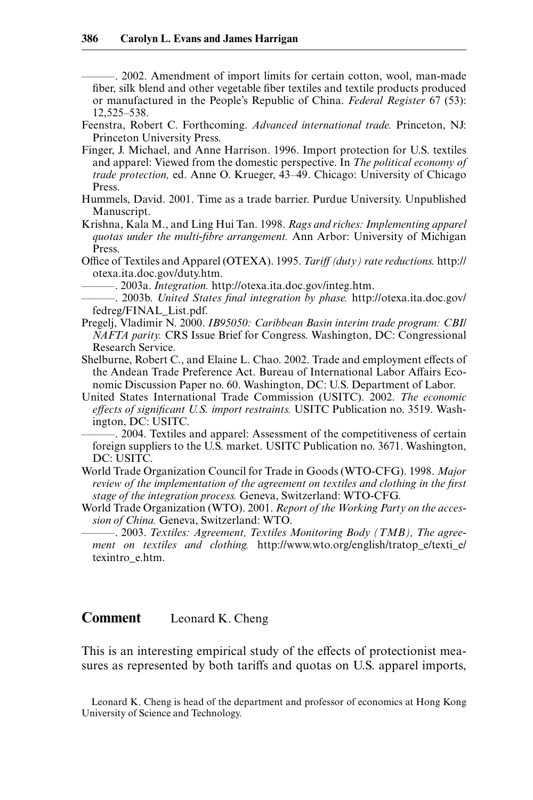———. 2002. Amendment of import limits for certain cotton, wool, man-made fiber, silk blend and other vegetable fiber textiles and textile products produced or manufactured in the People's Republic of China. *Federal Register* 67 (53): 12,525–538.

- Feenstra, Robert C. Forthcoming. *Advanced international trade.* Princeton, NJ: Princeton University Press.
- Finger, J. Michael, and Anne Harrison. 1996. Import protection for U.S. textiles and apparel: Viewed from the domestic perspective. In *The political economy of trade protection,* ed. Anne O. Krueger, 43–49. Chicago: University of Chicago Press.
- Hummels, David. 2001. Time as a trade barrier. Purdue University. Unpublished Manuscript.
- Krishna, Kala M., and Ling Hui Tan. 1998. *Rags and riches: Implementing apparel quotas under the multi-fibre arrangement.* Ann Arbor: University of Michigan Press.
- Office of Textiles and Apparel (OTEXA). 1995. *Tariff (duty) rate reductions.* http:// otexa.ita.doc.gov/duty.htm.
	- ———. 2003a. *Integration.* http://otexa.ita.doc.gov/integ.htm.
- ———. 2003b. *United States final integration by phase.* http://otexa.ita.doc.gov/ fedreg/FINAL\_List.pdf.
- Pregelj, Vladimir N. 2000. *IB95050: Caribbean Basin interim trade program: CBI/ NAFTA parity.* CRS Issue Brief for Congress. Washington, DC: Congressional Research Service.
- Shelburne, Robert C., and Elaine L. Chao. 2002. Trade and employment effects of the Andean Trade Preference Act. Bureau of International Labor Affairs Economic Discussion Paper no. 60. Washington, DC: U.S. Department of Labor.
- United States International Trade Commission (USITC). 2002. *The economic effects of significant U.S. import restraints.* USITC Publication no. 3519. Washington, DC: USITC.

-. 2004. Textiles and apparel: Assessment of the competitiveness of certain foreign suppliers to the U.S. market. USITC Publication no. 3671. Washington, DC: USITC.

- World Trade Organization Council for Trade in Goods (WTO-CFG). 1998. *Major review of the implementation of the agreement on textiles and clothing in the first stage of the integration process.* Geneva, Switzerland: WTO-CFG.
- World Trade Organization (WTO). 2001. *Report of the Working Party on the accession of China.* Geneva, Switzerland: WTO.
	- $-$ . 2003. Textiles: Agreement, Textiles Monitoring Body (TMB), The agree*ment on textiles and clothing.* http://www.wto.org/english/tratop\_e/texti\_e/ texintro\_e.htm.

# **Comment** Leonard K. Cheng

This is an interesting empirical study of the effects of protectionist measures as represented by both tariffs and quotas on U.S. apparel imports,

Leonard K. Cheng is head of the department and professor of economics at Hong Kong University of Science and Technology.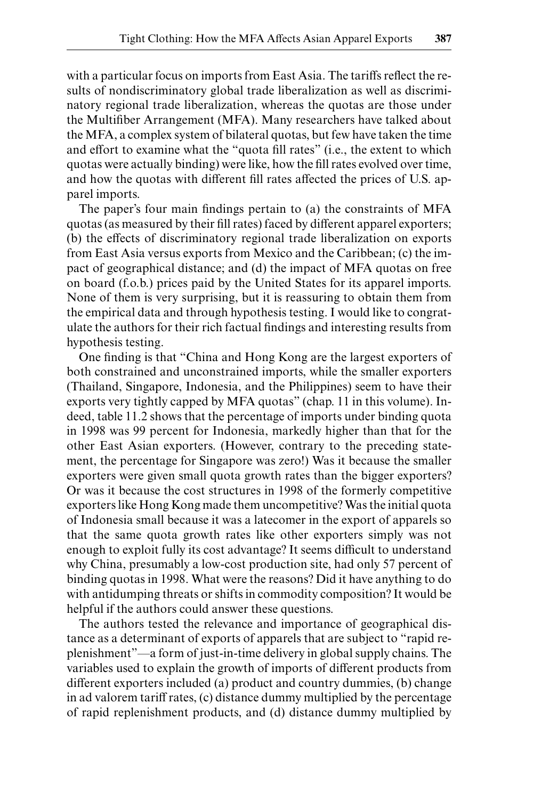with a particular focus on imports from East Asia. The tariffs reflect the results of nondiscriminatory global trade liberalization as well as discriminatory regional trade liberalization, whereas the quotas are those under the Multifiber Arrangement (MFA). Many researchers have talked about the MFA, a complex system of bilateral quotas, but few have taken the time and effort to examine what the "quota fill rates" (i.e., the extent to which quotas were actually binding) were like, how the fill rates evolved over time, and how the quotas with different fill rates affected the prices of U.S. apparel imports.

The paper's four main findings pertain to (a) the constraints of MFA quotas (as measured by their fill rates) faced by different apparel exporters; (b) the effects of discriminatory regional trade liberalization on exports from East Asia versus exports from Mexico and the Caribbean; (c) the impact of geographical distance; and (d) the impact of MFA quotas on free on board (f.o.b.) prices paid by the United States for its apparel imports. None of them is very surprising, but it is reassuring to obtain them from the empirical data and through hypothesis testing. I would like to congratulate the authors for their rich factual findings and interesting results from hypothesis testing.

One finding is that "China and Hong Kong are the largest exporters of both constrained and unconstrained imports, while the smaller exporters (Thailand, Singapore, Indonesia, and the Philippines) seem to have their exports very tightly capped by MFA quotas" (chap. 11 in this volume). Indeed, table 11.2 shows that the percentage of imports under binding quota in 1998 was 99 percent for Indonesia, markedly higher than that for the other East Asian exporters. (However, contrary to the preceding statement, the percentage for Singapore was zero!) Was it because the smaller exporters were given small quota growth rates than the bigger exporters? Or was it because the cost structures in 1998 of the formerly competitive exporters like Hong Kong made them uncompetitive? Was the initial quota of Indonesia small because it was a latecomer in the export of apparels so that the same quota growth rates like other exporters simply was not enough to exploit fully its cost advantage? It seems difficult to understand why China, presumably a low-cost production site, had only 57 percent of binding quotas in 1998. What were the reasons? Did it have anything to do with antidumping threats or shifts in commodity composition? It would be helpful if the authors could answer these questions.

The authors tested the relevance and importance of geographical distance as a determinant of exports of apparels that are subject to "rapid replenishment"—a form of just-in-time delivery in global supply chains. The variables used to explain the growth of imports of different products from different exporters included (a) product and country dummies, (b) change in ad valorem tariff rates, (c) distance dummy multiplied by the percentage of rapid replenishment products, and (d) distance dummy multiplied by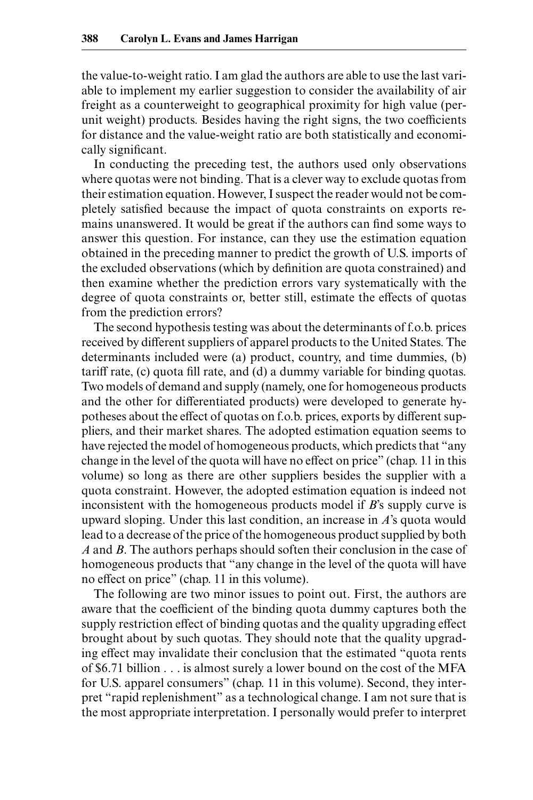the value-to-weight ratio. I am glad the authors are able to use the last variable to implement my earlier suggestion to consider the availability of air freight as a counterweight to geographical proximity for high value (perunit weight) products. Besides having the right signs, the two coefficients for distance and the value-weight ratio are both statistically and economically significant.

In conducting the preceding test, the authors used only observations where quotas were not binding. That is a clever way to exclude quotas from their estimation equation. However, I suspect the reader would not be completely satisfied because the impact of quota constraints on exports remains unanswered. It would be great if the authors can find some ways to answer this question. For instance, can they use the estimation equation obtained in the preceding manner to predict the growth of U.S. imports of the excluded observations (which by definition are quota constrained) and then examine whether the prediction errors vary systematically with the degree of quota constraints or, better still, estimate the effects of quotas from the prediction errors?

The second hypothesis testing was about the determinants of f.o.b. prices received by different suppliers of apparel products to the United States. The determinants included were (a) product, country, and time dummies, (b) tariff rate, (c) quota fill rate, and (d) a dummy variable for binding quotas. Two models of demand and supply (namely, one for homogeneous products and the other for differentiated products) were developed to generate hypotheses about the effect of quotas on f.o.b. prices, exports by different suppliers, and their market shares. The adopted estimation equation seems to have rejected the model of homogeneous products, which predicts that "any change in the level of the quota will have no effect on price" (chap. 11 in this volume) so long as there are other suppliers besides the supplier with a quota constraint. However, the adopted estimation equation is indeed not inconsistent with the homogeneous products model if *B*'s supply curve is upward sloping. Under this last condition, an increase in *A*'s quota would lead to a decrease of the price of the homogeneous product supplied by both *A* and *B*. The authors perhaps should soften their conclusion in the case of homogeneous products that "any change in the level of the quota will have no effect on price" (chap. 11 in this volume).

The following are two minor issues to point out. First, the authors are aware that the coefficient of the binding quota dummy captures both the supply restriction effect of binding quotas and the quality upgrading effect brought about by such quotas. They should note that the quality upgrading effect may invalidate their conclusion that the estimated "quota rents of \$6.71 billion . . . is almost surely a lower bound on the cost of the MFA for U.S. apparel consumers" (chap. 11 in this volume). Second, they interpret "rapid replenishment" as a technological change. I am not sure that is the most appropriate interpretation. I personally would prefer to interpret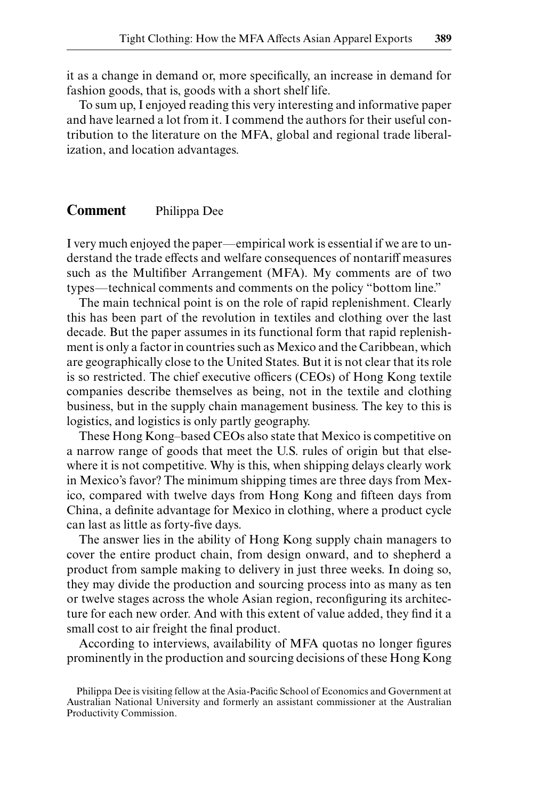it as a change in demand or, more specifically, an increase in demand for fashion goods, that is, goods with a short shelf life.

To sum up, I enjoyed reading this very interesting and informative paper and have learned a lot from it. I commend the authors for their useful contribution to the literature on the MFA, global and regional trade liberalization, and location advantages.

# **Comment** Philippa Dee

I very much enjoyed the paper—empirical work is essential if we are to understand the trade effects and welfare consequences of nontariff measures such as the Multifiber Arrangement (MFA). My comments are of two types—technical comments and comments on the policy "bottom line."

The main technical point is on the role of rapid replenishment. Clearly this has been part of the revolution in textiles and clothing over the last decade. But the paper assumes in its functional form that rapid replenishment is only a factor in countries such as Mexico and the Caribbean, which are geographically close to the United States. But it is not clear that its role is so restricted. The chief executive officers (CEOs) of Hong Kong textile companies describe themselves as being, not in the textile and clothing business, but in the supply chain management business. The key to this is logistics, and logistics is only partly geography.

These Hong Kong–based CEOs also state that Mexico is competitive on a narrow range of goods that meet the U.S. rules of origin but that elsewhere it is not competitive. Why is this, when shipping delays clearly work in Mexico's favor? The minimum shipping times are three days from Mexico, compared with twelve days from Hong Kong and fifteen days from China, a definite advantage for Mexico in clothing, where a product cycle can last as little as forty-five days.

The answer lies in the ability of Hong Kong supply chain managers to cover the entire product chain, from design onward, and to shepherd a product from sample making to delivery in just three weeks. In doing so, they may divide the production and sourcing process into as many as ten or twelve stages across the whole Asian region, reconfiguring its architecture for each new order. And with this extent of value added, they find it a small cost to air freight the final product.

According to interviews, availability of MFA quotas no longer figures prominently in the production and sourcing decisions of these Hong Kong

Philippa Dee is visiting fellow at the Asia-Pacific School of Economics and Government at Australian National University and formerly an assistant commissioner at the Australian Productivity Commission.